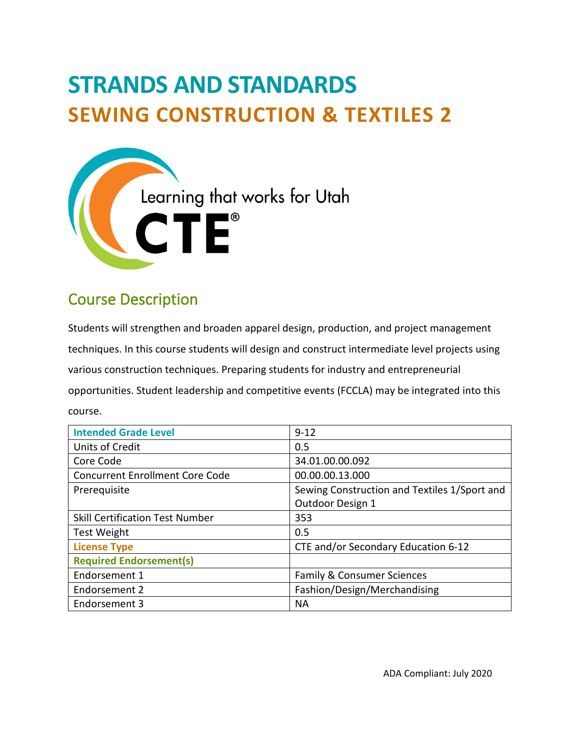# **STRANDS AND STANDARDS SEWING CONSTRUCTION & TEXTILES 2**



# Course Description

Students will strengthen and broaden apparel design, production, and project management techniques. In this course students will design and construct intermediate level projects using various construction techniques. Preparing students for industry and entrepreneurial opportunities. Student leadership and competitive events (FCCLA) may be integrated into this course.

| <b>Intended Grade Level</b>            | $9 - 12$                                     |  |  |
|----------------------------------------|----------------------------------------------|--|--|
| <b>Units of Credit</b>                 | 0.5                                          |  |  |
| Core Code                              | 34.01.00.00.092                              |  |  |
| <b>Concurrent Enrollment Core Code</b> | 00.00.00.13.000                              |  |  |
| Prerequisite                           | Sewing Construction and Textiles 1/Sport and |  |  |
|                                        | Outdoor Design 1                             |  |  |
| <b>Skill Certification Test Number</b> | 353                                          |  |  |
| <b>Test Weight</b>                     | 0.5                                          |  |  |
| <b>License Type</b>                    | CTE and/or Secondary Education 6-12          |  |  |
| <b>Required Endorsement(s)</b>         |                                              |  |  |
| Endorsement 1                          | Family & Consumer Sciences                   |  |  |
| Endorsement 2                          | Fashion/Design/Merchandising                 |  |  |
| Endorsement 3                          | <b>NA</b>                                    |  |  |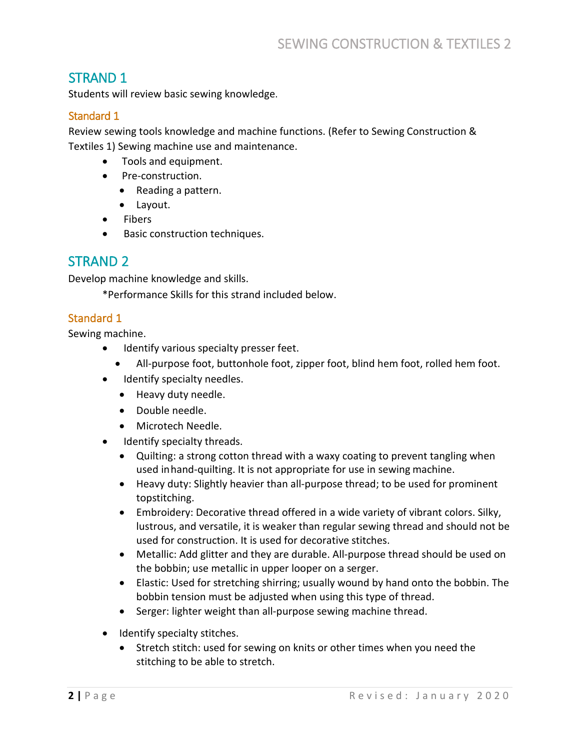# STRAND 1

Students will review basic sewing knowledge.

#### Standard 1

Review sewing tools knowledge and machine functions. (Refer to Sewing Construction & Textiles 1) Sewing machine use and maintenance.

- Tools and equipment.
- Pre-construction.
	- Reading a pattern.
	- Layout.
- Fibers
- Basic construction techniques.

# STRAND 2

Develop machine knowledge and skills.

\*Performance Skills for this strand included below.

#### Standard 1

Sewing machine.

- Identify various specialty presser feet.
	- All-purpose foot, buttonhole foot, zipper foot, blind hem foot, rolled hem foot.
- Identify specialty needles.
	- Heavy duty needle.
	- Double needle.
	- Microtech Needle.
- Identify specialty threads.
	- Quilting: a strong cotton thread with a waxy coating to prevent tangling when used inhand-quilting. It is not appropriate for use in sewing machine.
	- Heavy duty: Slightly heavier than all-purpose thread; to be used for prominent topstitching.
	- Embroidery: Decorative thread offered in a wide variety of vibrant colors. Silky, lustrous, and versatile, it is weaker than regular sewing thread and should not be used for construction. It is used for decorative stitches.
	- Metallic: Add glitter and they are durable. All-purpose thread should be used on the bobbin; use metallic in upper looper on a serger.
	- Elastic: Used for stretching shirring; usually wound by hand onto the bobbin. The bobbin tension must be adjusted when using this type of thread.
	- Serger: lighter weight than all-purpose sewing machine thread.
- Identify specialty stitches.
	- Stretch stitch: used for sewing on knits or other times when you need the stitching to be able to stretch.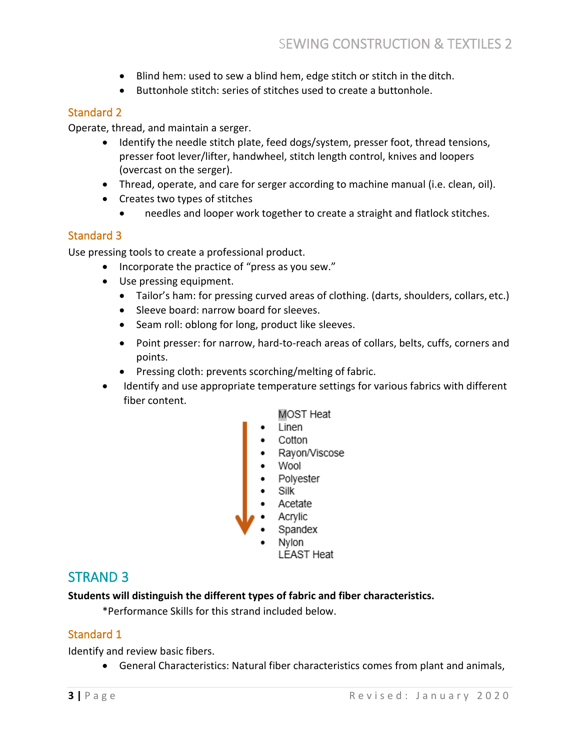- Blind hem: used to sew a blind hem, edge stitch or stitch in the ditch.
- Buttonhole stitch: series of stitches used to create a buttonhole.

#### Standard 2

Operate, thread, and maintain a serger.

- Identify the needle stitch plate, feed dogs/system, presser foot, thread tensions, presser foot lever/lifter, handwheel, stitch length control, knives and loopers (overcast on the serger).
- Thread, operate, and care for serger according to machine manual (i.e. clean, oil).
- Creates two types of stitches
	- needles and looper work together to create a straight and flatlock stitches.

#### Standard 3

Use pressing tools to create a professional product.

- Incorporate the practice of "press as you sew."
- Use pressing equipment.
	- Tailor's ham: for pressing curved areas of clothing. (darts, shoulders, collars, etc.)
	- Sleeve board: narrow board for sleeves.
	- Seam roll: oblong for long, product like sleeves.
	- Point presser: for narrow, hard-to-reach areas of collars, belts, cuffs, corners and points.
	- Pressing cloth: prevents scorching/melting of fabric.
- Identify and use appropriate temperature settings for various fabrics with different fiber content.
	- **MOST Heat**
	- Linen
	- Cotton
	- Rayon/Viscose
	- Wool
	- Polyester
	- Silk
	- Acetate
	- Acrylic
	- Spandex
	- Nylon
		- **LEAST Heat**

### STRAND 3

#### **Students will distinguish the different types of fabric and fiber characteristics.**

\*Performance Skills for this strand included below.

#### Standard 1

Identify and review basic fibers.

• General Characteristics: Natural fiber characteristics comes from plant and animals,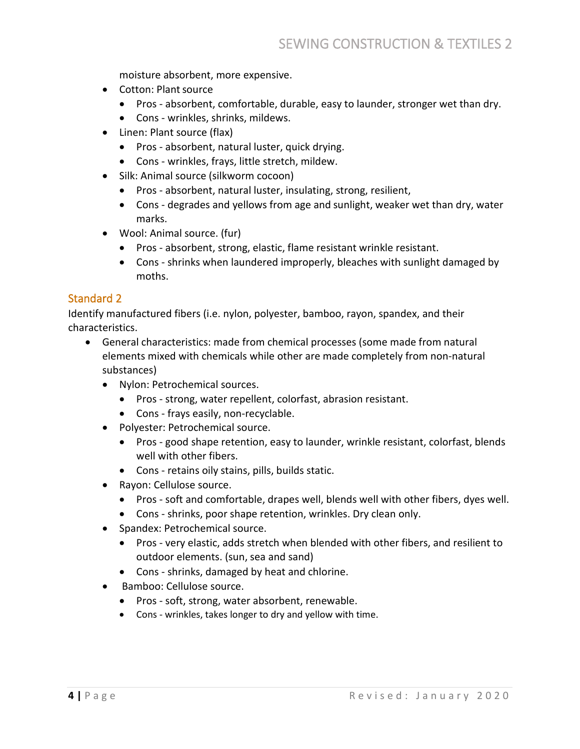moisture absorbent, more expensive.

- Cotton: Plant source
	- Pros absorbent, comfortable, durable, easy to launder, stronger wet than dry.
	- Cons wrinkles, shrinks, mildews.
- Linen: Plant source (flax)
	- Pros absorbent, natural luster, quick drying.
	- Cons wrinkles, frays, little stretch, mildew.
- Silk: Animal source (silkworm cocoon)
	- Pros absorbent, natural luster, insulating, strong, resilient,
	- Cons degrades and yellows from age and sunlight, weaker wet than dry, water marks.
- Wool: Animal source. (fur)
	- Pros absorbent, strong, elastic, flame resistant wrinkle resistant.
	- Cons shrinks when laundered improperly, bleaches with sunlight damaged by moths.

#### Standard 2

Identify manufactured fibers (i.e. nylon, polyester, bamboo, rayon, spandex, and their characteristics.

- General characteristics: made from chemical processes (some made from natural elements mixed with chemicals while other are made completely from non-natural substances)
	- Nylon: Petrochemical sources.
		- Pros strong, water repellent, colorfast, abrasion resistant.
		- Cons frays easily, non-recyclable.
	- Polyester: Petrochemical source.
		- Pros good shape retention, easy to launder, wrinkle resistant, colorfast, blends well with other fibers.
		- Cons retains oily stains, pills, builds static.
	- Rayon: Cellulose source.
		- Pros soft and comfortable, drapes well, blends well with other fibers, dyes well.
		- Cons shrinks, poor shape retention, wrinkles. Dry clean only.
	- Spandex: Petrochemical source.
		- Pros very elastic, adds stretch when blended with other fibers, and resilient to outdoor elements. (sun, sea and sand)
		- Cons shrinks, damaged by heat and chlorine.
	- Bamboo: Cellulose source.
		- Pros soft, strong, water absorbent, renewable.
		- Cons wrinkles, takes longer to dry and yellow with time.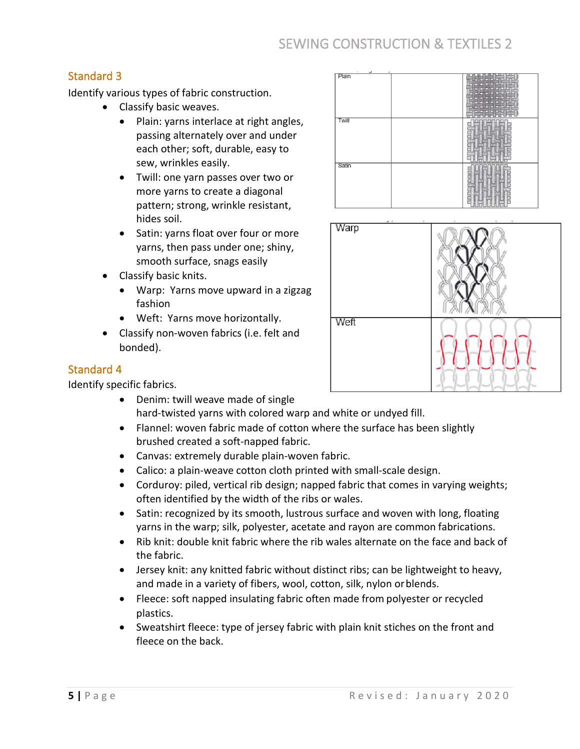# SEWING CONSTRUCTION & TEXTILES 2

#### Standard 3

Identify various types of fabric construction.

- Classify basic weaves.
	- Plain: yarns interlace at right angles, passing alternately over and under each other; soft, durable, easy to sew, wrinkles easily.
	- Twill: one yarn passes over two or more yarns to create a diagonal pattern; strong, wrinkle resistant, hides soil.
	- Satin: yarns float over four or more yarns, then pass under one; shiny, smooth surface, snags easily
- Classify basic knits.
	- Warp: Yarns move upward in a zigzag fashion
	- Weft: Yarns move horizontally.
- Classify non-woven fabrics (i.e. felt and bonded).

#### Standard 4

Identify specific fabrics.

- Denim: twill weave made of single hard-twisted yarns with colored warp and white or undyed fill.
- Flannel: woven fabric made of cotton where the surface has been slightly brushed created a soft-napped fabric.
- Canvas: extremely durable plain-woven fabric.
- Calico: a plain-weave cotton cloth printed with small-scale design.
- Corduroy: piled, vertical rib design; napped fabric that comes in varying weights; often identified by the width of the ribs or wales.
- Satin: recognized by its smooth, lustrous surface and woven with long, floating yarns in the warp; silk, polyester, acetate and rayon are common fabrications.
- Rib knit: double knit fabric where the rib wales alternate on the face and back of the fabric.
- Jersey knit: any knitted fabric without distinct ribs; can be lightweight to heavy, and made in a variety of fibers, wool, cotton, silk, nylon orblends.
- Fleece: soft napped insulating fabric often made from polyester or recycled plastics.
- Sweatshirt fleece: type of jersey fabric with plain knit stiches on the front and fleece on the back.



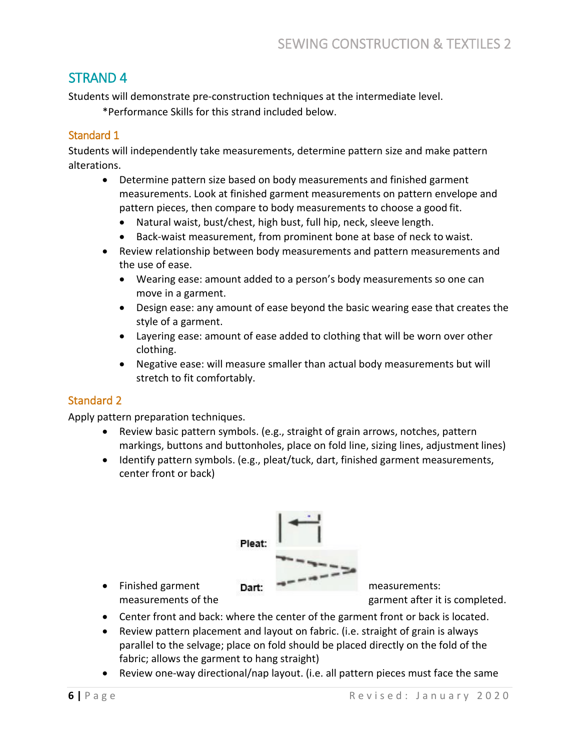## STRAND 4

Students will demonstrate pre-construction techniques at the intermediate level.

\*Performance Skills for this strand included below.

#### Standard 1

Students will independently take measurements, determine pattern size and make pattern alterations.

- Determine pattern size based on body measurements and finished garment measurements. Look at finished garment measurements on pattern envelope and pattern pieces, then compare to body measurements to choose a good fit.
	- Natural waist, bust/chest, high bust, full hip, neck, sleeve length.
	- Back-waist measurement, from prominent bone at base of neck to waist.
- Review relationship between body measurements and pattern measurements and the use of ease.
	- Wearing ease: amount added to a person's body measurements so one can move in a garment.
	- Design ease: any amount of ease beyond the basic wearing ease that creates the style of a garment.
	- Layering ease: amount of ease added to clothing that will be worn over other clothing.
	- Negative ease: will measure smaller than actual body measurements but will stretch to fit comfortably.

#### Standard 2

Apply pattern preparation techniques.

- Review basic pattern symbols. (e.g., straight of grain arrows, notches, pattern markings, buttons and buttonholes, place on fold line, sizing lines, adjustment lines)
- Identify pattern symbols. (e.g., pleat/tuck, dart, finished garment measurements, center front or back)



• Finished garment **Dart: Finished garments: measurements:** 

measurements of the **garment** after it is completed.

- Center front and back: where the center of the garment front or back is located.
- Review pattern placement and layout on fabric. (i.e. straight of grain is always parallel to the selvage; place on fold should be placed directly on the fold of the fabric; allows the garment to hang straight)
- Review one-way directional/nap layout. (i.e. all pattern pieces must face the same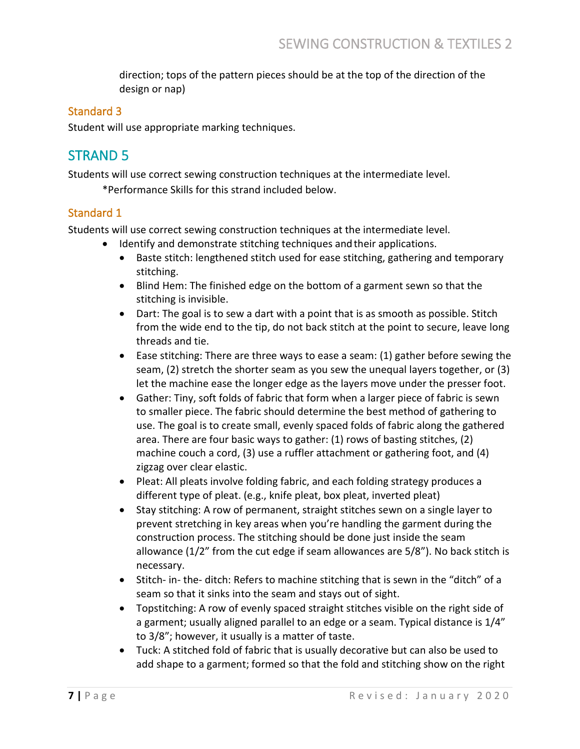direction; tops of the pattern pieces should be at the top of the direction of the design or nap)

#### Standard 3

Student will use appropriate marking techniques.

### STRAND 5

Students will use correct sewing construction techniques at the intermediate level.

\*Performance Skills for this strand included below.

#### Standard 1

Students will use correct sewing construction techniques at the intermediate level.

- Identify and demonstrate stitching techniques andtheir applications.
	- Baste stitch: lengthened stitch used for ease stitching, gathering and temporary stitching.
	- Blind Hem: The finished edge on the bottom of a garment sewn so that the stitching is invisible.
	- Dart: The goal is to sew a dart with a point that is as smooth as possible. Stitch from the wide end to the tip, do not back stitch at the point to secure, leave long threads and tie.
	- Ease stitching: There are three ways to ease a seam: (1) gather before sewing the seam, (2) stretch the shorter seam as you sew the unequal layers together, or (3) let the machine ease the longer edge as the layers move under the presser foot.
	- Gather: Tiny, soft folds of fabric that form when a larger piece of fabric is sewn to smaller piece. The fabric should determine the best method of gathering to use. The goal is to create small, evenly spaced folds of fabric along the gathered area. There are four basic ways to gather: (1) rows of basting stitches, (2) machine couch a cord, (3) use a ruffler attachment or gathering foot, and (4) zigzag over clear elastic.
	- Pleat: All pleats involve folding fabric, and each folding strategy produces a different type of pleat. (e.g., knife pleat, box pleat, inverted pleat)
	- Stay stitching: A row of permanent, straight stitches sewn on a single layer to prevent stretching in key areas when you're handling the garment during the construction process. The stitching should be done just inside the seam allowance  $(1/2)$  from the cut edge if seam allowances are  $5/8$ "). No back stitch is necessary.
	- Stitch- in- the- ditch: Refers to machine stitching that is sewn in the "ditch" of a seam so that it sinks into the seam and stays out of sight.
	- Topstitching: A row of evenly spaced straight stitches visible on the right side of a garment; usually aligned parallel to an edge or a seam. Typical distance is 1/4" to 3/8"; however, it usually is a matter of taste.
	- Tuck: A stitched fold of fabric that is usually decorative but can also be used to add shape to a garment; formed so that the fold and stitching show on the right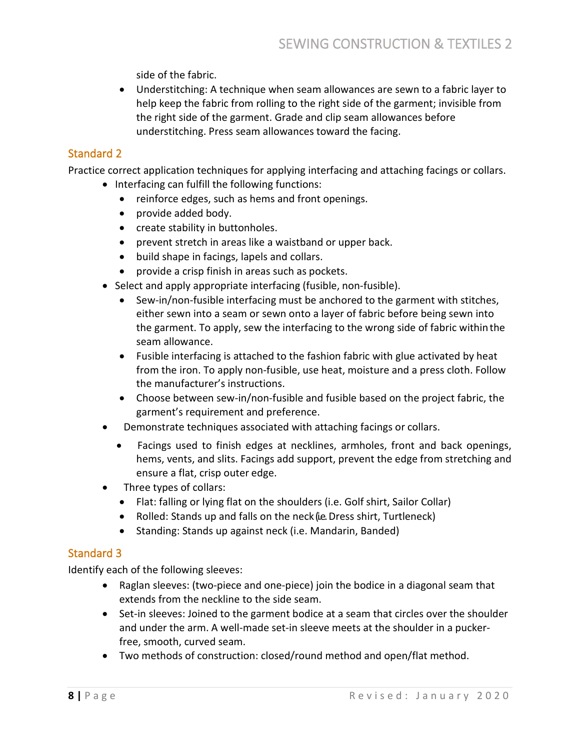side of the fabric.

• Understitching: A technique when seam allowances are sewn to a fabric layer to help keep the fabric from rolling to the right side of the garment; invisible from the right side of the garment. Grade and clip seam allowances before understitching. Press seam allowances toward the facing.

#### Standard 2

Practice correct application techniques for applying interfacing and attaching facings or collars.

- Interfacing can fulfill the following functions:
	- reinforce edges, such as hems and front openings.
	- provide added body.
	- create stability in buttonholes.
	- prevent stretch in areas like a waistband or upper back.
	- build shape in facings, lapels and collars.
	- provide a crisp finish in areas such as pockets.
- Select and apply appropriate interfacing (fusible, non-fusible).
	- Sew-in/non-fusible interfacing must be anchored to the garment with stitches, either sewn into a seam or sewn onto a layer of fabric before being sewn into the garment. To apply, sew the interfacing to the wrong side of fabric withinthe seam allowance.
	- Fusible interfacing is attached to the fashion fabric with glue activated by heat from the iron. To apply non-fusible, use heat, moisture and a press cloth. Follow the manufacturer's instructions.
	- Choose between sew-in/non-fusible and fusible based on the project fabric, the garment's requirement and preference.
- Demonstrate techniques associated with attaching facings or collars.
	- Facings used to finish edges at necklines, armholes, front and back openings, hems, vents, and slits. Facings add support, prevent the edge from stretching and ensure a flat, crisp outer edge.
- Three types of collars:
	- Flat: falling or lying flat on the shoulders (i.e. Golf shirt, Sailor Collar)
	- Rolled: Stands up and falls on the neck (i.e. Dress shirt, Turtleneck)
	- Standing: Stands up against neck (i.e. Mandarin, Banded)

#### Standard 3

Identify each of the following sleeves:

- Raglan sleeves: (two-piece and one-piece) join the bodice in a diagonal seam that extends from the neckline to the side seam.
- Set-in sleeves: Joined to the garment bodice at a seam that circles over the shoulder and under the arm. A well-made set-in sleeve meets at the shoulder in a puckerfree, smooth, curved seam.
- Two methods of construction: closed/round method and open/flat method.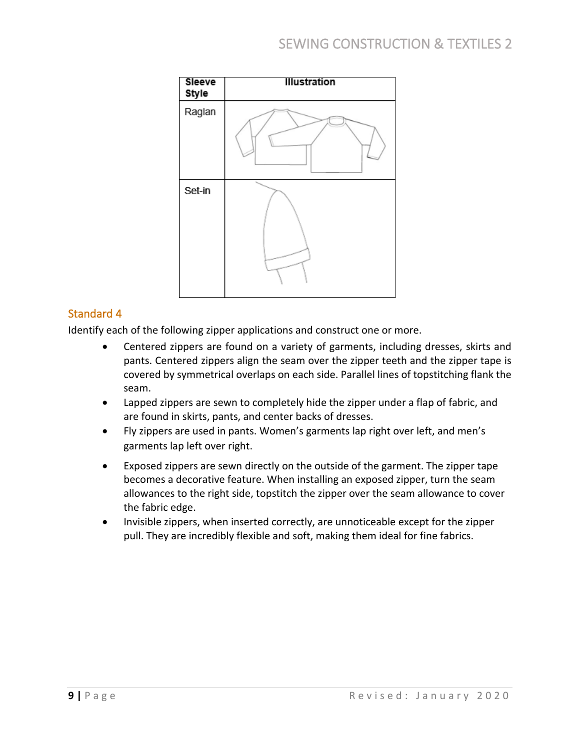

#### Standard 4

Identify each of the following zipper applications and construct one or more.

- Centered zippers are found on a variety of garments, including dresses, skirts and pants. Centered zippers align the seam over the zipper teeth and the zipper tape is covered by symmetrical overlaps on each side. Parallel lines of topstitching flank the seam.
- Lapped zippers are sewn to completely hide the zipper under a flap of fabric, and are found in skirts, pants, and center backs of dresses.
- Fly zippers are used in pants. Women's garments lap right over left, and men's garments lap left over right.
- Exposed zippers are sewn directly on the outside of the garment. The zipper tape becomes a decorative feature. When installing an exposed zipper, turn the seam allowances to the right side, topstitch the zipper over the seam allowance to cover the fabric edge.
- Invisible zippers, when inserted correctly, are unnoticeable except for the zipper pull. They are incredibly flexible and soft, making them ideal for fine fabrics.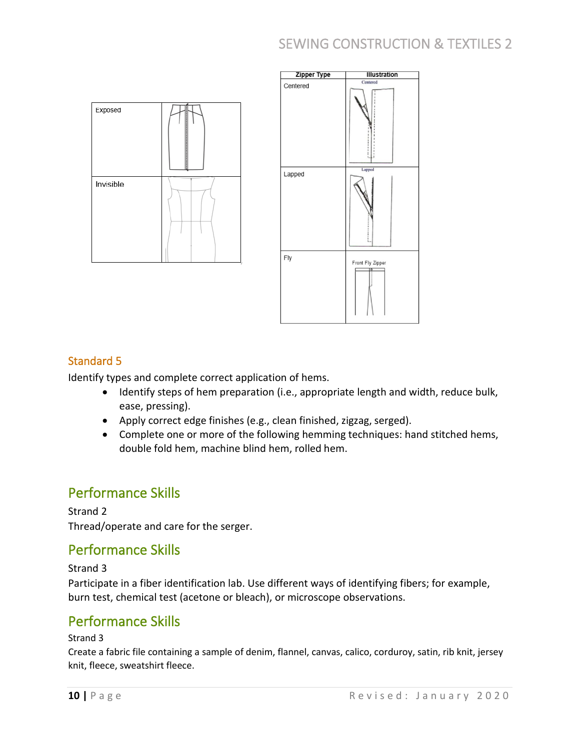# SEWING CONSTRUCTION & TEXTILES 2





### Standard 5

Identify types and complete correct application of hems.

- Identify steps of hem preparation (i.e., appropriate length and width, reduce bulk, ease, pressing).
- Apply correct edge finishes (e.g., clean finished, zigzag, serged).
- Complete one or more of the following hemming techniques: hand stitched hems, double fold hem, machine blind hem, rolled hem.

# Performance Skills

Strand 2 Thread/operate and care for the serger.

# Performance Skills

#### Strand 3

Participate in a fiber identification lab. Use different ways of identifying fibers; for example, burn test, chemical test (acetone or bleach), or microscope observations.

# Performance Skills

#### Strand 3

Create a fabric file containing a sample of denim, flannel, canvas, calico, corduroy, satin, rib knit, jersey knit, fleece, sweatshirt fleece.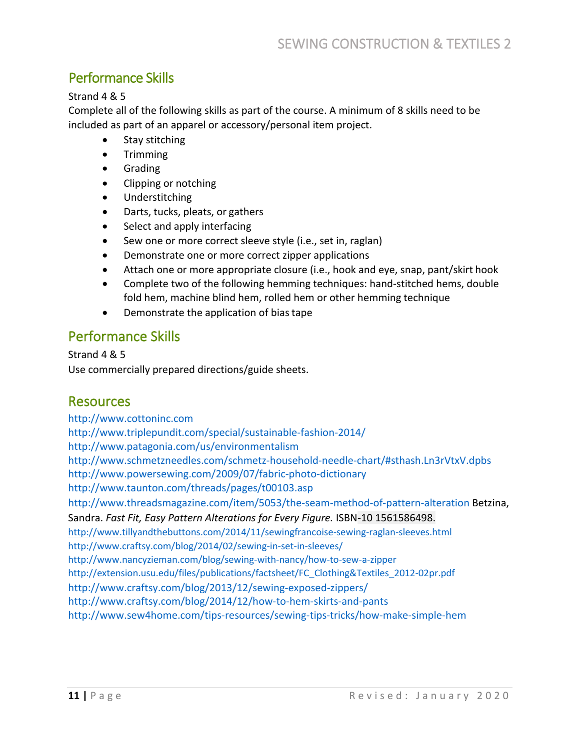# Performance Skills

#### Strand 4 & 5

Complete all of the following skills as part of the course. A minimum of 8 skills need to be included as part of an apparel or accessory/personal item project.

- Stay stitching
- Trimming
- Grading
- Clipping or notching
- Understitching
- Darts, tucks, pleats, or gathers
- Select and apply interfacing
- Sew one or more correct sleeve style (i.e., set in, raglan)
- Demonstrate one or more correct zipper applications
- Attach one or more appropriate closure (i.e., hook and eye, snap, pant/skirt hook
- Complete two of the following hemming techniques: hand-stitched hems, double fold hem, machine blind hem, rolled hem or other hemming technique
- Demonstrate the application of biastape

# Performance Skills

Strand 4 & 5 Use commercially prepared directions/guide sheets.

# **Resources**

[http://www.cottoninc.com](http://www.cottoninc.com/) <http://www.triplepundit.com/special/sustainable-fashion-2014/> <http://www.patagonia.com/us/environmentalism> <http://www.schmetzneedles.com/schmetz-household-needle-chart/#sthash.Ln3rVtxV.dpbs> <http://www.powersewing.com/2009/07/fabric-photo-dictionary> <http://www.taunton.com/threads/pages/t00103.asp> <http://www.threadsmagazine.com/item/5053/the-seam-method-of-pattern-alteration> Betzina, Sandra. *Fast Fit, Easy Pattern Alterations for Every Figure.* ISBN-10 1561586498. <http://www.tillyandthebuttons.com/2014/11/sewingfrancoise-sewing-raglan-sleeves.html> <http://www.craftsy.com/blog/2014/02/sewing-in-set-in-sleeves/> <http://www.nancyzieman.com/blog/sewing-with-nancy/how-to-sew-a-zipper> [http://extension.usu.edu/files/publications/factsheet/FC\\_Clothing&Textiles\\_2012-02pr.pdf](http://extension.usu.edu/files/publications/factsheet/FC_Clothing%26Textiles_2012-02pr.pdf) <http://www.craftsy.com/blog/2013/12/sewing-exposed-zippers/> <http://www.craftsy.com/blog/2014/12/how-to-hem-skirts-and-pants> <http://www.sew4home.com/tips-resources/sewing-tips-tricks/how-make-simple-hem>